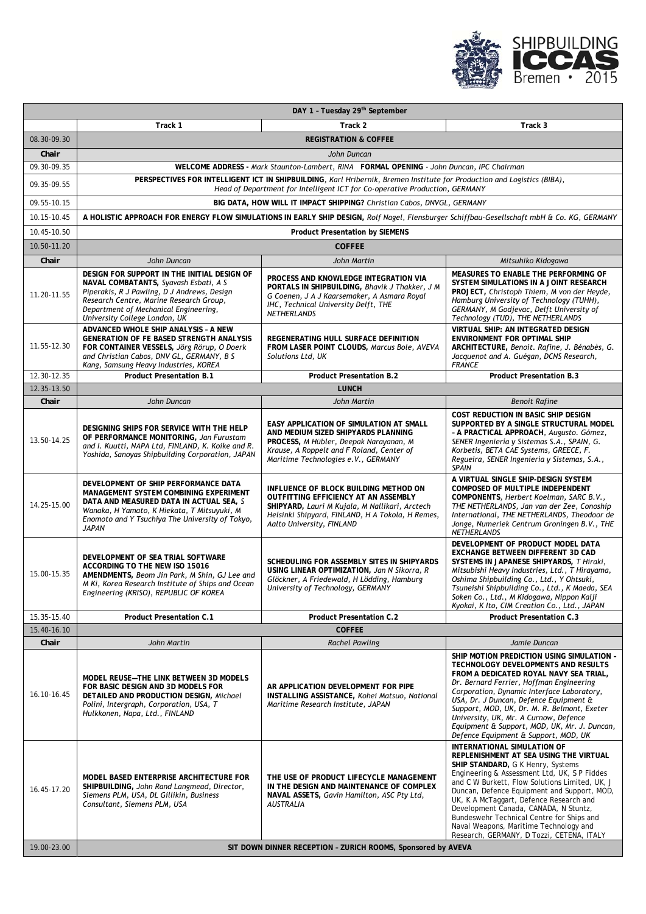

| DAY 1 - Tuesday 29 <sup>th</sup> September |                                                                                                                                                                                                                                                          |                                                                                                                                                                                                                       |                                                                                                                                                                                                                                                                                                                                                                                                                                                                                     |  |
|--------------------------------------------|----------------------------------------------------------------------------------------------------------------------------------------------------------------------------------------------------------------------------------------------------------|-----------------------------------------------------------------------------------------------------------------------------------------------------------------------------------------------------------------------|-------------------------------------------------------------------------------------------------------------------------------------------------------------------------------------------------------------------------------------------------------------------------------------------------------------------------------------------------------------------------------------------------------------------------------------------------------------------------------------|--|
|                                            | Track 1                                                                                                                                                                                                                                                  | Track 2                                                                                                                                                                                                               | Track 3                                                                                                                                                                                                                                                                                                                                                                                                                                                                             |  |
| 08.30-09.30                                |                                                                                                                                                                                                                                                          | <b>REGISTRATION &amp; COFFEE</b>                                                                                                                                                                                      |                                                                                                                                                                                                                                                                                                                                                                                                                                                                                     |  |
| Chair                                      | John Duncan                                                                                                                                                                                                                                              |                                                                                                                                                                                                                       |                                                                                                                                                                                                                                                                                                                                                                                                                                                                                     |  |
| 09.30-09.35                                | WELCOME ADDRESS - Mark Staunton-Lambert, RINA FORMAL OPENING - John Duncan, IPC Chairman                                                                                                                                                                 |                                                                                                                                                                                                                       |                                                                                                                                                                                                                                                                                                                                                                                                                                                                                     |  |
| 09.35-09.55                                | PERSPECTIVES FOR INTELLIGENT ICT IN SHIPBUILDING, Karl Hribernik, Bremen Institute for Production and Logistics (BIBA),<br>Head of Department for Intelligent ICT for Co-operative Production, GERMANY                                                   |                                                                                                                                                                                                                       |                                                                                                                                                                                                                                                                                                                                                                                                                                                                                     |  |
| 09.55-10.15                                | BIG DATA, HOW WILL IT IMPACT SHIPPING? Christian Cabos, DNVGL, GERMANY                                                                                                                                                                                   |                                                                                                                                                                                                                       |                                                                                                                                                                                                                                                                                                                                                                                                                                                                                     |  |
| 10.15-10.45                                |                                                                                                                                                                                                                                                          | A HOLISTIC APPROACH FOR ENERGY FLOW SIMULATIONS IN EARLY SHIP DESIGN, Rolf Nagel, Flensburger Schiffbau-Gesellschaft mbH & Co. KG, GERMANY                                                                            |                                                                                                                                                                                                                                                                                                                                                                                                                                                                                     |  |
| 10.45-10.50                                | <b>Product Presentation by SIEMENS</b>                                                                                                                                                                                                                   |                                                                                                                                                                                                                       |                                                                                                                                                                                                                                                                                                                                                                                                                                                                                     |  |
| 10.50-11.20                                |                                                                                                                                                                                                                                                          | <b>COFFEE</b>                                                                                                                                                                                                         |                                                                                                                                                                                                                                                                                                                                                                                                                                                                                     |  |
| Chair                                      | John Duncan                                                                                                                                                                                                                                              | John Martin                                                                                                                                                                                                           | Mitsuhiko Kidogawa                                                                                                                                                                                                                                                                                                                                                                                                                                                                  |  |
| 11.20-11.55                                | DESIGN FOR SUPPORT IN THE INITIAL DESIGN OF<br>NAVAL COMBATANTS, Syavash Esbati, A S<br>Piperakis, R J Pawling, D J Andrews, Design<br>Research Centre, Marine Research Group,<br>Department of Mechanical Engineering,<br>University College London, UK | PROCESS AND KNOWLEDGE INTEGRATION VIA<br>PORTALS IN SHIPBUILDING, Bhavik J Thakker, J M<br>G Coenen, J A J Kaarsemaker, A Asmara Royal<br>IHC, Technical University Delft, THE<br><b>NETHERLANDS</b>                  | MEASURES TO ENABLE THE PERFORMING OF<br>SYSTEM SIMULATIONS IN A JOINT RESEARCH<br>PROJECT, Christoph Thiem, M von der Heyde,<br>Hamburg University of Technology (TUHH),<br>GERMANY, M Godjevac, Delft University of<br>Technology (TUD), THE NETHERLANDS                                                                                                                                                                                                                           |  |
| 11.55-12.30                                | ADVANCED WHOLE SHIP ANALYSIS - A NEW<br><b>GENERATION OF FE BASED STRENGTH ANALYSIS</b><br>FOR CONTAINER VESSELS, Jörg Rörup, O Doerk<br>and Christian Cabos, DNV GL, GERMANY, B S<br>Kang, Samsung Heavy Industries, KOREA                              | REGENERATING HULL SURFACE DEFINITION<br>FROM LASER POINT CLOUDS, Marcus Bole, AVEVA<br>Solutions Ltd. UK                                                                                                              | VIRTUAL SHIP: AN INTEGRATED DESIGN<br><b>ENVIRONMENT FOR OPTIMAL SHIP</b><br>ARCHITECTURE, Benoit. Rafine, J. Bénabès, G.<br>Jacquenot and A. Guégan, DCNS Research,<br><b>FRANCE</b>                                                                                                                                                                                                                                                                                               |  |
| 12.30-12.35                                | <b>Product Presentation B.1</b>                                                                                                                                                                                                                          | <b>Product Presentation B.2</b>                                                                                                                                                                                       | <b>Product Presentation B.3</b>                                                                                                                                                                                                                                                                                                                                                                                                                                                     |  |
| 12.35-13.50                                |                                                                                                                                                                                                                                                          | <b>LUNCH</b>                                                                                                                                                                                                          |                                                                                                                                                                                                                                                                                                                                                                                                                                                                                     |  |
| Chair                                      | John Duncan                                                                                                                                                                                                                                              | John Martin                                                                                                                                                                                                           | <b>Benoit Rafine</b><br>COST REDUCTION IN BASIC SHIP DESIGN                                                                                                                                                                                                                                                                                                                                                                                                                         |  |
| 13.50-14.25                                | DESIGNING SHIPS FOR SERVICE WITH THE HELP<br>OF PERFORMANCE MONITORING, Jan Furustam<br>and I. Kuutti, NAPA Ltd, FINLAND, K. Koike and R.<br>Yoshida, Sanoyas Shipbuilding Corporation, JAPAN                                                            | EASY APPLICATION OF SIMULATION AT SMALL<br>AND MEDIUM SIZED SHIPYARDS PLANNING<br>PROCESS, M Hübler, Deepak Narayanan, M<br>Krause, A Roppelt and F Roland, Center of<br>Maritime Technologies e.V., GERMANY          | SUPPORTED BY A SINGLE STRUCTURAL MODEL<br>- A PRACTICAL APPROACH, Augusto. Gómez,<br>SENER Ingeniería y Sistemas S.A., SPAIN, G.<br>Korbetis, BETA CAE Systems, GREECE, F.<br>Regueira, SENER Ingeniería y Sistemas, S.A.,<br><b>SPAIN</b>                                                                                                                                                                                                                                          |  |
| 14.25-15.00                                | DEVELOPMENT OF SHIP PERFORMANCE DATA<br>MANAGEMENT SYSTEM COMBINING EXPERIMENT<br>DATA AND MEASURED DATA IN ACTUAL SEA, S<br>Wanaka, H Yamato, K Hiekata, T Mitsuyuki, M<br>Enomoto and Y Tsuchiya The University of Tokyo,<br>JAPAN                     | INFLUENCE OF BLOCK BUILDING METHOD ON<br>OUTFITTING EFFICIENCY AT AN ASSEMBLY<br>SHIPYARD, Lauri M Kujala, M Nallikari, Arctech<br>Helsinki Shipyard, FINLAND, H A Tokola, H Remes,<br>Aalto University, FINLAND      | A VIRTUAL SINGLE SHIP-DESIGN SYSTEM<br>COMPOSED OF MULTIPLE INDEPENDENT<br>COMPONENTS, Herbert Koelman, SARC B.V.,<br>THE NETHERLANDS, Jan van der Zee, Conoship<br>International, THE NETHERLANDS, Theodoor de<br>Jonge, Numeriek Centrum Groningen B.V., THE<br><b>NETHERLANDS</b>                                                                                                                                                                                                |  |
| 15.00-15.35                                | DEVELOPMENT OF SEA TRIAL SOFTWARE<br>ACCORDING TO THE NEW ISO 15016<br>AMENDMENTS, Beom Jin Park, M Shin, GJ Lee and<br>M Ki, Korea Research Institute of Ships and Ocean<br>Engineering (KRISO), REPUBLIC OF KOREA                                      | SCHEDULING FOR ASSEMBLY SITES IN SHIPYARDS<br>USING LINEAR OPTIMIZATION, Jan N Sikorra, R<br>Glöckner, A Friedewald, H Lödding, Hamburg<br>University of Technology, GERMANY                                          | DEVELOPMENT OF PRODUCT MODEL DATA<br>EXCHANGE BETWEEN DIFFERENT 3D CAD<br>SYSTEMS IN JAPANESE SHIPYARDS, T Hiraki,<br>Mitsubishi Heavy Industries, Ltd., T Hirayama,<br>Oshima Shipbuilding Co., Ltd., Y Ohtsuki,<br>Tsuneishi Shipbuilding Co., Ltd., K Maeda, SEA<br>Soken Co., Ltd., M Kidogawa, Nippon Kaiji<br>Kyokai, K Ito, CIM Creation Co., Ltd., JAPAN                                                                                                                    |  |
| 15.35-15.40                                | <b>Product Presentation C.1</b>                                                                                                                                                                                                                          | <b>Product Presentation C.2</b>                                                                                                                                                                                       | <b>Product Presentation C.3</b>                                                                                                                                                                                                                                                                                                                                                                                                                                                     |  |
| 15.40-16.10                                | <b>COFFEE</b>                                                                                                                                                                                                                                            |                                                                                                                                                                                                                       |                                                                                                                                                                                                                                                                                                                                                                                                                                                                                     |  |
| Chair<br>16.10-16.45                       | John Martin<br>MODEL REUSE-THE LINK BETWEEN 3D MODELS<br>FOR BASIC DESIGN AND 3D MODELS FOR<br>DETAILED AND PRODUCTION DESIGN, Michael<br>Polini, Intergraph, Corporation, USA, T<br>Hulkkonen, Napa, Ltd., FINLAND                                      | <b>Rachel Pawling</b><br>AR APPLICATION DEVELOPMENT FOR PIPE<br>INSTALLING ASSISTANCE, Kohei Matsuo, National<br>Maritime Research Institute, JAPAN                                                                   | Jamie Duncan<br>SHIP MOTION PREDICTION USING SIMULATION -<br>TECHNOLOGY DEVELOPMENTS AND RESULTS<br>FROM A DEDICATED ROYAL NAVY SEA TRIAL.<br>Dr. Bernard Ferrier, Hoffman Engineering<br>Corporation, Dynamic Interface Laboratory,<br>USA, Dr. J Duncan, Defence Equipment &<br>Support, MOD, UK, Dr. M. R. Belmont, Exeter<br>University, UK, Mr. A Curnow, Defence<br>Equipment & Support, MOD, UK, Mr. J. Duncan,<br>Defence Equipment & Support, MOD, UK                      |  |
| 16.45-17.20<br>19.00-23.00                 | MODEL BASED ENTERPRISE ARCHITECTURE FOR<br>SHIPBUILDING, John Rand Langmead, Director,<br>Siemens PLM, USA, DL Gillikin, Business<br>Consultant, Siemens PLM, USA                                                                                        | THE USE OF PRODUCT LIFECYCLE MANAGEMENT<br>IN THE DESIGN AND MAINTENANCE OF COMPLEX<br>NAVAL ASSETS, Gavin Hamilton, ASC Pty Ltd,<br><b>AUSTRALIA</b><br>SIT DOWN DINNER RECEPTION - ZURICH ROOMS, Sponsored by AVEVA | INTERNATIONAL SIMULATION OF<br>REPLENISHMENT AT SEA USING THE VIRTUAL<br>SHIP STANDARD, G K Henry, Systems<br>Engineering & Assessment Ltd, UK, S P Fiddes<br>and C W Burkett, Flow Solutions Limited, UK, J<br>Duncan, Defence Equipment and Support, MOD,<br>UK, K A McTaggart, Defence Research and<br>Development Canada, CANADA, N Stuntz,<br>Bundeswehr Technical Centre for Ships and<br>Naval Weapons, Maritime Technology and<br>Research, GERMANY, D Tozzi, CETENA, ITALY |  |
|                                            |                                                                                                                                                                                                                                                          |                                                                                                                                                                                                                       |                                                                                                                                                                                                                                                                                                                                                                                                                                                                                     |  |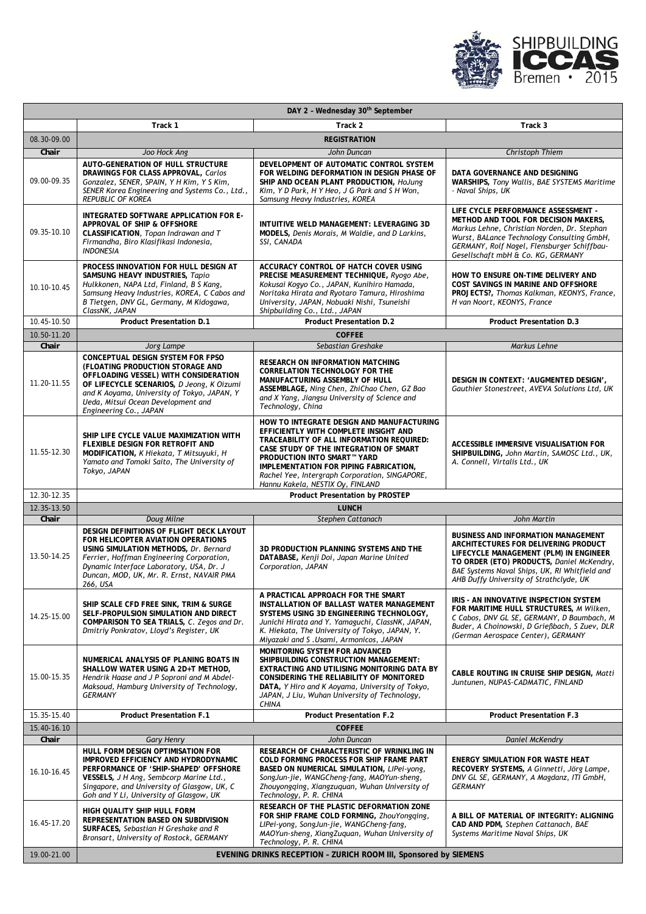

| DAY 2 - Wednesday 30 <sup>th</sup> September |                                                                                                                                                                                                                                       |                                                                                                                                                                                                                                                                                                                                                 |                                                                                                                                                                                                                                                                       |  |
|----------------------------------------------|---------------------------------------------------------------------------------------------------------------------------------------------------------------------------------------------------------------------------------------|-------------------------------------------------------------------------------------------------------------------------------------------------------------------------------------------------------------------------------------------------------------------------------------------------------------------------------------------------|-----------------------------------------------------------------------------------------------------------------------------------------------------------------------------------------------------------------------------------------------------------------------|--|
|                                              | Track 1                                                                                                                                                                                                                               | Track 2                                                                                                                                                                                                                                                                                                                                         | Track 3                                                                                                                                                                                                                                                               |  |
| 08.30-09.00                                  |                                                                                                                                                                                                                                       | <b>REGISTRATION</b>                                                                                                                                                                                                                                                                                                                             |                                                                                                                                                                                                                                                                       |  |
| Chair                                        | Joo Hock Ang                                                                                                                                                                                                                          | John Duncan                                                                                                                                                                                                                                                                                                                                     | Christoph Thiem                                                                                                                                                                                                                                                       |  |
| 09.00-09.35                                  | <b>AUTO-GENERATION OF HULL STRUCTURE</b><br>DRAWINGS FOR CLASS APPROVAL, Carlos<br>Gonzalez, SENER, SPAIN, Y H Kim, Y S Kim,<br>SENER Korea Engineering and Systems Co., Ltd.,<br><b>REPUBLIC OF KOREA</b>                            | DEVELOPMENT OF AUTOMATIC CONTROL SYSTEM<br>FOR WELDING DEFORMATION IN DESIGN PHASE OF<br>SHIP AND OCEAN PLANT PRODUCTION, HoJung<br>Kim, Y D Park, H Y Heo, J G Park and S H Won,<br>Samsung Heavy Industries, KOREA                                                                                                                            | DATA GOVERNANCE AND DESIGNING<br>WARSHIPS, Tony Wallis, BAE SYSTEMS Maritime<br>- Naval Ships, UK                                                                                                                                                                     |  |
| 09.35-10.10                                  | INTEGRATED SOFTWARE APPLICATION FOR E-<br>APPROVAL OF SHIP & OFFSHORE<br>CLASSIFICATION, Topan Indrawan and T<br>Firmandha, Biro Klasifikasi Indonesia,<br><b>INDONESIA</b>                                                           | INTUITIVE WELD MANAGEMENT: LEVERAGING 3D<br>MODELS, Denis Morais, M Waldie, and D Larkins,<br>SSI, CANADA                                                                                                                                                                                                                                       | LIFE CYCLE PERFORMANCE ASSESSMENT -<br>METHOD AND TOOL FOR DECISION MAKERS,<br>Markus Lehne, Christian Norden, Dr. Stephan<br>Wurst, BALance Technology Consulting GmbH,<br>GERMANY, Rolf Nagel, Flensburger Schiffbau-<br>Gesellschaft mbH & Co. KG, GERMANY         |  |
| 10.10-10.45                                  | PROCESS INNOVATION FOR HULL DESIGN AT<br>SAMSUNG HEAVY INDUSTRIES, Tapio<br>Hulkkonen, NAPA Ltd, Finland, B S Kang,<br>Samsung Heavy Industries, KOREA, C Cabos and<br>B Tietgen, DNV GL, Germany, M Kidogawa,<br>ClassNK, JAPAN      | ACCURACY CONTROL OF HATCH COVER USING<br>PRECISE MEASUREMENT TECHNIQUE, Ryogo Abe,<br>Kokusai Kogyo Co., JAPAN, Kunihiro Hamada,<br>Noritaka Hirata and Ryotaro Tamura, Hiroshima<br>University, JAPAN, Nobuaki Nishi, Tsuneishi<br>Shipbuilding Co., Ltd., JAPAN                                                                               | HOW TO ENSURE ON-TIME DELIVERY AND<br>COST SAVINGS IN MARINE AND OFFSHORE<br>PROJECTS?, Thomas Kalkman, KEONYS, France,<br>H van Noort, KEONYS, France                                                                                                                |  |
| 10.45-10.50                                  | <b>Product Presentation D.1</b>                                                                                                                                                                                                       | <b>Product Presentation D.2</b>                                                                                                                                                                                                                                                                                                                 | <b>Product Presentation D.3</b>                                                                                                                                                                                                                                       |  |
| 10.50-11.20                                  |                                                                                                                                                                                                                                       | <b>COFFEE</b>                                                                                                                                                                                                                                                                                                                                   |                                                                                                                                                                                                                                                                       |  |
| Chair                                        | Jorg Lampe<br>CONCEPTUAL DESIGN SYSTEM FOR FPSO                                                                                                                                                                                       | Sebastian Greshake                                                                                                                                                                                                                                                                                                                              | Markus Lehne                                                                                                                                                                                                                                                          |  |
| 11.20-11.55                                  | (FLOATING PRODUCTION STORAGE AND<br>OFFLOADING VESSEL) WITH CONSIDERATION<br>OF LIFECYCLE SCENARIOS, D Jeong, K Oizumi<br>and K Aoyama, University of Tokyo, JAPAN, Y<br>Ueda, Mitsui Ocean Development and<br>Engineering Co., JAPAN | RESEARCH ON INFORMATION MATCHING<br><b>CORRELATION TECHNOLOGY FOR THE</b><br>MANUFACTURING ASSEMBLY OF HULL<br>ASSEMBLAGE, Ning Chen, ZhiChao Chen, GZ Bao<br>and X Yang, Jiangsu University of Science and<br>Technology, China                                                                                                                | DESIGN IN CONTEXT: 'AUGMENTED DESIGN',<br>Gauthier Stonestreet, AVEVA Solutions Ltd, UK                                                                                                                                                                               |  |
| 11.55-12.30                                  | SHIP LIFE CYCLE VALUE MAXIMIZATION WITH<br>FLEXIBLE DESIGN FOR RETROFIT AND<br>MODIFICATION, K Hiekata, T Mitsuyuki, H<br>Yamato and Tomoki Saito, The University of<br>Tokyo, JAPAN                                                  | HOW TO INTEGRATE DESIGN AND MANUFACTURING<br>EFFICIENTLY WITH COMPLETE INSIGHT AND<br>TRACEABILITY OF ALL INFORMATION REQUIRED:<br>CASE STUDY OF THE INTEGRATION OF SMART<br><b>PRODUCTION INTO SMART™ YARD</b><br>IMPLEMENTATION FOR PIPING FABRICATION,<br>Rachel Yee, Intergraph Corporation, SINGAPORE,<br>Hannu Kakela, NESTIX Oy, FINLAND | ACCESSIBLE IMMERSIVE VISUALISATION FOR<br>SHIPBUILDING, John Martin, SAMOSC Ltd., UK,<br>A. Connell, Virtalis Ltd., UK                                                                                                                                                |  |
| 12.30-12.35                                  |                                                                                                                                                                                                                                       | <b>Product Presentation by PROSTEP</b>                                                                                                                                                                                                                                                                                                          |                                                                                                                                                                                                                                                                       |  |
| 12.35-13.50                                  |                                                                                                                                                                                                                                       | <b>LUNCH</b>                                                                                                                                                                                                                                                                                                                                    |                                                                                                                                                                                                                                                                       |  |
| Chair                                        | Doug Milne<br>DESIGN DEFINITIONS OF FLIGHT DECK LAYOUT                                                                                                                                                                                | Stephen Cattanach                                                                                                                                                                                                                                                                                                                               | John Martin                                                                                                                                                                                                                                                           |  |
| 13.50-14.25                                  | FOR HELICOPTER AVIATION OPERATIONS<br>USING SIMULATION METHODS, Dr. Bernard<br>Ferrier, Hoffman Engineering Corporation,<br>Dynamic Interface Laboratory, USA, Dr. J<br>Duncan, MOD, UK, Mr. R. Ernst, NAVAIR PMA<br>266, USA         | 3D PRODUCTION PLANNING SYSTEMS AND THE<br>DATABASE, Kenji Doi, Japan Marine United<br>Corporation, JAPAN                                                                                                                                                                                                                                        | <b>BUSINESS AND INFORMATION MANAGEMENT</b><br>ARCHITECTURES FOR DELIVERING PRODUCT<br>LIFECYCLE MANAGEMENT (PLM) IN ENGINEER<br>TO ORDER (ETO) PRODUCTS, Daniel McKendry,<br>BAE Systems Naval Ships, UK, RI Whitfield and<br>AHB Duffy University of Strathclyde, UK |  |
| 14.25-15.00                                  | SHIP SCALE CFD FREE SINK, TRIM & SURGE<br>SELF-PROPULSION SIMULATION AND DIRECT<br>COMPARISON TO SEA TRIALS, C. Zegos and Dr.<br>Dmitriy Ponkratov, Lloyd's Register, UK                                                              | A PRACTICAL APPROACH FOR THE SMART<br>INSTALLATION OF BALLAST WATER MANAGEMENT<br>SYSTEMS USING 3D ENGINEERING TECHNOLOGY,<br>Junichi Hirata and Y. Yamaguchi, ClassNK, JAPAN,<br>K. Hiekata, The University of Tokyo, JAPAN, Y.<br>Miyazaki and S.Usami, Armonicos, JAPAN                                                                      | IRIS - AN INNOVATIVE INSPECTION SYSTEM<br>FOR MARITIME HULL STRUCTURES, M Wilken,<br>C Cabos, DNV GL SE, GERMANY, D Baumbach, M<br>Buder, A Choinowski, D Grießbach, S Zuev, DLR<br>(German Aerospace Center), GERMANY                                                |  |
| 15.00-15.35                                  | NUMERICAL ANALYSIS OF PLANING BOATS IN<br>SHALLOW WATER USING A 2D+T METHOD,<br>Hendrik Haase and J P Soproni and M Abdel-<br>Maksoud, Hamburg University of Technology,<br><b>GERMANY</b>                                            | <b>MONITORING SYSTEM FOR ADVANCED</b><br>SHIPBUILDING CONSTRUCTION MANAGEMENT:<br>EXTRACTING AND UTILISING MONITORING DATA BY<br>CONSIDERING THE RELIABILITY OF MONITORED<br>DATA, Y Hiro and K Aoyama, University of Tokyo,<br>JAPAN, J Liu, Wuhan University of Technology,<br><b>CHINA</b>                                                   | CABLE ROUTING IN CRUISE SHIP DESIGN, Matti<br>Juntunen, NUPAS-CADMATIC, FINLAND                                                                                                                                                                                       |  |
| 15.35-15.40                                  | <b>Product Presentation F.1</b>                                                                                                                                                                                                       | <b>Product Presentation F.2</b>                                                                                                                                                                                                                                                                                                                 | <b>Product Presentation F.3</b>                                                                                                                                                                                                                                       |  |
| 15.40-16.10                                  |                                                                                                                                                                                                                                       | <b>COFFEE</b>                                                                                                                                                                                                                                                                                                                                   |                                                                                                                                                                                                                                                                       |  |
| Chair                                        | <b>Gary Henry</b><br>HULL FORM DESIGN OPTIMISATION FOR                                                                                                                                                                                | John Duncan<br>RESEARCH OF CHARACTERISTIC OF WRINKLING IN                                                                                                                                                                                                                                                                                       | <b>Daniel McKendry</b>                                                                                                                                                                                                                                                |  |
| 16.10-16.45                                  | IMPROVED EFFICIENCY AND HYDRODYNAMIC<br>PERFORMANCE OF 'SHIP-SHAPED' OFFSHORE<br>VESSELS, J H Ang, Sembcorp Marine Ltd.,<br>Singapore, and University of Glasgow, UK, C<br>Goh and Y Li, University of Glasgow, UK                    | COLD FORMING PROCESS FOR SHIP FRAME PART<br>BASED ON NUMERICAL SIMULATION, LIPei-yong,<br>SongJun-jie, WANGCheng-fang, MAOYun-sheng,<br>Zhouyongqing, Xiangzuquan, Wuhan University of<br>Technology, P. R. CHINA                                                                                                                               | ENERGY SIMULATION FOR WASTE HEAT<br>RECOVERY SYSTEMS, A Ginnetti, Jörg Lampe,<br>DNV GL SE, GERMANY, A Magdanz, ITI GmbH,<br>GERMANY                                                                                                                                  |  |
| 16.45-17.20                                  | HIGH QUALITY SHIP HULL FORM<br>REPRESENTATION BASED ON SUBDIVISION<br>SURFACES, Sebastian H Greshake and R                                                                                                                            | RESEARCH OF THE PLASTIC DEFORMATION ZONE<br>FOR SHIP FRAME COLD FORMING, ZhouYongqing,<br>LIPei-yong, SongJun-jie, WANGCheng-fang,<br>MAOYun-sheng, XiangZuquan, Wuhan University of                                                                                                                                                            | A BILL OF MATERIAL OF INTEGRITY: ALIGNING<br>CAD AND PDM, Stephen Cattanach, BAE<br>Systems Maritime Naval Ships, UK                                                                                                                                                  |  |
| 19.00-21.00                                  | Bronsart, University of Rostock, GERMANY                                                                                                                                                                                              | Technology, P. R. CHINA<br>EVENING DRINKS RECEPTION - ZURICH ROOM III, Sponsored by SIEMENS                                                                                                                                                                                                                                                     |                                                                                                                                                                                                                                                                       |  |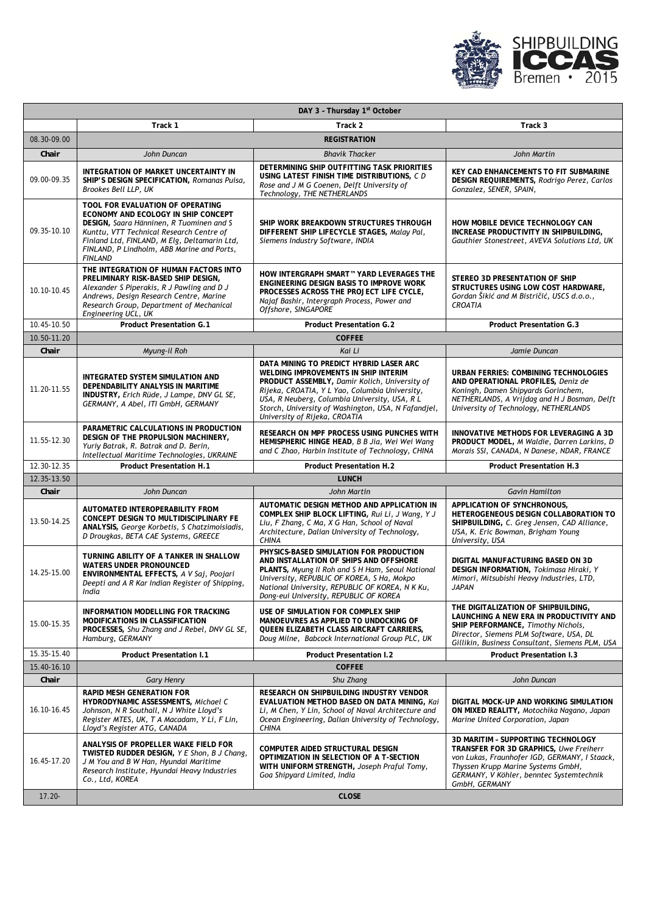

| DAY 3 - Thursday 1st October |                                                                                                                                                                                                                                                                                 |                                                                                                                                                                                                                                                                                                                             |                                                                                                                                                                                                                                  |  |  |
|------------------------------|---------------------------------------------------------------------------------------------------------------------------------------------------------------------------------------------------------------------------------------------------------------------------------|-----------------------------------------------------------------------------------------------------------------------------------------------------------------------------------------------------------------------------------------------------------------------------------------------------------------------------|----------------------------------------------------------------------------------------------------------------------------------------------------------------------------------------------------------------------------------|--|--|
|                              | Track 1                                                                                                                                                                                                                                                                         | Track 2                                                                                                                                                                                                                                                                                                                     | Track 3                                                                                                                                                                                                                          |  |  |
| 08.30-09.00                  | <b>REGISTRATION</b>                                                                                                                                                                                                                                                             |                                                                                                                                                                                                                                                                                                                             |                                                                                                                                                                                                                                  |  |  |
| Chair                        | John Duncan                                                                                                                                                                                                                                                                     | <b>Bhavik Thacker</b>                                                                                                                                                                                                                                                                                                       | John Martin                                                                                                                                                                                                                      |  |  |
| 09.00-09.35                  | INTEGRATION OF MARKET UNCERTAINTY IN<br>SHIP'S DESIGN SPECIFICATION, Romanas Puisa,<br>Brookes Bell LLP, UK                                                                                                                                                                     | DETERMINING SHIP OUTFITTING TASK PRIORITIES<br>USING LATEST FINISH TIME DISTRIBUTIONS, CD<br>Rose and J M G Coenen, Delft University of<br>Technology, THE NETHERLANDS                                                                                                                                                      | KEY CAD ENHANCEMENTS TO FIT SUBMARINE<br>DESIGN REQUIREMENTS, Rodrigo Perez, Carlos<br>Gonzalez, SENER, SPAIN,                                                                                                                   |  |  |
| 09.35-10.10                  | TOOL FOR EVALUATION OF OPERATING<br>ECONOMY AND ECOLOGY IN SHIP CONCEPT<br>DESIGN, Saara Hänninen, R Tuominen and S<br>Kunttu, VTT Technical Research Centre of<br>Finland Ltd, FINLAND, M Elg, Deltamarin Ltd,<br>FINLAND, P Lindholm, ABB Marine and Ports,<br><b>FINLAND</b> | SHIP WORK BREAKDOWN STRUCTURES THROUGH<br>DIFFERENT SHIP LIFECYCLE STAGES, Malay Pal,<br>Siemens Industry Software, INDIA                                                                                                                                                                                                   | HOW MOBILE DEVICE TECHNOLOGY CAN<br>INCREASE PRODUCTIVITY IN SHIPBUILDING,<br>Gauthier Stonestreet, AVEVA Solutions Ltd, UK                                                                                                      |  |  |
| 10.10-10.45                  | THE INTEGRATION OF HUMAN FACTORS INTO<br>PRELIMINARY RISK-BASED SHIP DESIGN,<br>Alexander S Piperakis, R J Pawling and D J<br>Andrews, Design Research Centre, Marine<br>Research Group, Department of Mechanical<br>Engineering UCL, UK                                        | HOW INTERGRAPH SMART™ YARD LEVERAGES THE<br>ENGINEERING DESIGN BASIS TO IMPROVE WORK<br>PROCESSES ACROSS THE PROJECT LIFE CYCLE,<br>Najaf Bashir, Intergraph Process, Power and<br>Offshore, SINGAPORE                                                                                                                      | STEREO 3D PRESENTATION OF SHIP<br>STRUCTURES USING LOW COST HARDWARE,<br>Gordan Šikić and M Bistričić, USCS d.o.o.,<br><b>CROATIA</b>                                                                                            |  |  |
| 10.45-10.50                  | <b>Product Presentation G.1</b>                                                                                                                                                                                                                                                 | <b>Product Presentation G.2</b>                                                                                                                                                                                                                                                                                             | <b>Product Presentation G.3</b>                                                                                                                                                                                                  |  |  |
| 10.50-11.20                  |                                                                                                                                                                                                                                                                                 | <b>COFFEE</b>                                                                                                                                                                                                                                                                                                               |                                                                                                                                                                                                                                  |  |  |
| Chair                        | Myung-il Roh                                                                                                                                                                                                                                                                    | Kai Li                                                                                                                                                                                                                                                                                                                      | Jamie Duncan                                                                                                                                                                                                                     |  |  |
| 11.20-11.55                  | INTEGRATED SYSTEM SIMULATION AND<br>DEPENDABILITY ANALYSIS IN MARITIME<br>INDUSTRY, Erich Rüde, J Lampe, DNV GL SE,<br>GERMANY, A Abel, ITI GmbH, GERMANY                                                                                                                       | DATA MINING TO PREDICT HYBRID LASER ARC<br>WELDING IMPROVEMENTS IN SHIP INTERIM<br>PRODUCT ASSEMBLY, Damir Kolich, University of<br>Rijeka, CROATIA, Y L Yao, Columbia University,<br>USA, R Neuberg, Columbia University, USA, R L<br>Storch, University of Washington, USA, N Fafandjel,<br>University of Rijeka, CROATIA | URBAN FERRIES: COMBINING TECHNOLOGIES<br>AND OPERATIONAL PROFILES, Deniz de<br>Koningh, Damen Shipyards Gorinchem,<br>NETHERLANDS, A Vrijdag and H J Bosman, Delft<br>University of Technology, NETHERLANDS                      |  |  |
| 11.55-12.30                  | PARAMETRIC CALCULATIONS IN PRODUCTION<br>DESIGN OF THE PROPULSION MACHINERY,<br>Yuriy Batrak, R. Batrak and D. Berin,<br>Intellectual Maritime Technologies, UKRAINE                                                                                                            | RESEARCH ON MPF PROCESS USING PUNCHES WITH<br>HEMISPHERIC HINGE HEAD, B B Jia, Wei Wei Wang<br>and C Zhao, Harbin Institute of Technology, CHINA                                                                                                                                                                            | INNOVATIVE METHODS FOR LEVERAGING A 3D<br>PRODUCT MODEL, M Waldie, Darren Larkins, D<br>Morais SSI, CANADA, N Danese, NDAR, FRANCE                                                                                               |  |  |
| 12.30-12.35                  | <b>Product Presentation H.1</b>                                                                                                                                                                                                                                                 | <b>Product Presentation H.2</b>                                                                                                                                                                                                                                                                                             | <b>Product Presentation H.3</b>                                                                                                                                                                                                  |  |  |
| 12.35-13.50                  |                                                                                                                                                                                                                                                                                 | <b>LUNCH</b>                                                                                                                                                                                                                                                                                                                |                                                                                                                                                                                                                                  |  |  |
| Chair                        | John Duncan                                                                                                                                                                                                                                                                     | John Martin                                                                                                                                                                                                                                                                                                                 | <b>Gavin Hamilton</b>                                                                                                                                                                                                            |  |  |
| 13.50-14.25                  | AUTOMATED INTEROPERABILITY FROM<br>CONCEPT DESIGN TO MULTIDISCIPLINARY FE<br>ANALYSIS, George Korbetis, S Chatzimoisiadis,<br>D Drougkas, BETA CAE Systems, GREECE                                                                                                              | AUTOMATIC DESIGN METHOD AND APPLICATION IN<br>COMPLEX SHIP BLOCK LIFTING, Rui Li, J Wang, Y J<br>Liu, F Zhang, C Ma, X G Han, School of Naval<br>Architecture, Dalian University of Technology,<br><b>CHINA</b>                                                                                                             | APPLICATION OF SYNCHRONOUS,<br>HETEROGENEOUS DESIGN COLLABORATION TO<br>SHIPBUILDING, C. Greg Jensen, CAD Alliance,<br>USA, K. Eric Bowman, Brigham Young<br>University, USA                                                     |  |  |
| 14.25-15.00                  | TURNING ABILITY OF A TANKER IN SHALLOW<br><b>WATERS UNDER PRONOUNCED</b><br>ENVIRONMENTAL EFFECTS, A V Saj, Poojari<br>Deepti and A R Kar Indian Register of Shipping,<br>India                                                                                                 | PHYSICS-BASED SIMULATION FOR PRODUCTION<br>AND INSTALLATION OF SHIPS AND OFFSHORE<br>PLANTS, Myung Il Roh and S H Ham, Seoul National<br>University, REPUBLIC OF KOREA, S Ha, Mokpo<br>National University, REPUBLIC OF KOREA, N K Ku,<br>Dong-eui University, REPUBLIC OF KOREA                                            | DIGITAL MANUFACTURING BASED ON 3D<br>DESIGN INFORMATION, Tokimasa Hiraki, Y<br>Mimori, Mitsubishi Heavy Industries, LTD,<br><b>JAPAN</b>                                                                                         |  |  |
| 15.00-15.35                  | INFORMATION MODELLING FOR TRACKING<br>MODIFICATIONS IN CLASSIFICATION<br>PROCESSES, Shu Zhang and J Rebel, DNV GL SE,<br>Hamburg, GERMANY                                                                                                                                       | USE OF SIMULATION FOR COMPLEX SHIP<br>MANOEUVRES AS APPLIED TO UNDOCKING OF<br>QUEEN ELIZABETH CLASS AIRCRAFT CARRIERS,<br>Doug Milne, Babcock International Group PLC, UK                                                                                                                                                  | THE DIGITALIZATION OF SHIPBUILDING,<br>LAUNCHING A NEW ERA IN PRODUCTIVITY AND<br>SHIP PERFORMANCE, Timothy Nichols,<br>Director, Siemens PLM Software, USA, DL<br>Gillikin, Business Consultant, Siemens PLM, USA               |  |  |
| 15.35-15.40                  | <b>Product Presentation I.1</b>                                                                                                                                                                                                                                                 | <b>Product Presentation I.2</b>                                                                                                                                                                                                                                                                                             | <b>Product Presentation I.3</b>                                                                                                                                                                                                  |  |  |
| 15.40-16.10                  |                                                                                                                                                                                                                                                                                 | <b>COFFEE</b>                                                                                                                                                                                                                                                                                                               |                                                                                                                                                                                                                                  |  |  |
| Chair                        | <b>Gary Henry</b>                                                                                                                                                                                                                                                               | Shu Zhang                                                                                                                                                                                                                                                                                                                   | John Duncan                                                                                                                                                                                                                      |  |  |
| 16.10-16.45                  | <b>RAPID MESH GENERATION FOR</b><br>HYDRODYNAMIC ASSESSMENTS, Michael C<br>Johnson, N R Southall, N J White Lloyd's<br>Register MTES, UK, T A Macadam, Y Li, F Lin,<br>Lloyd's Register ATG, CANADA                                                                             | RESEARCH ON SHIPBUILDING INDUSTRY VENDOR<br><b>EVALUATION METHOD BASED ON DATA MINING, Kai</b><br>Li, M Chen, Y Lin, School of Naval Architecture and<br>Ocean Engineering, Dalian University of Technology,<br><b>CHINA</b>                                                                                                | DIGITAL MOCK-UP AND WORKING SIMULATION<br>ON MIXED REALITY, Motochika Nagano, Japan<br>Marine United Corporation, Japan                                                                                                          |  |  |
| 16.45-17.20                  | ANALYSIS OF PROPELLER WAKE FIELD FOR<br>TWISTED RUDDER DESIGN, Y E Shon, B J Chang,<br>J M You and B W Han, Hyundai Maritime<br>Research Institute, Hyundai Heavy Industries<br>Co., Ltd, KOREA                                                                                 | COMPUTER AIDED STRUCTURAL DESIGN<br>OPTIMIZATION IN SELECTION OF A T-SECTION<br>WITH UNIFORM STRENGTH, Joseph Praful Tomy,<br>Goa Shipyard Limited, India                                                                                                                                                                   | 3D MARITIM - SUPPORTING TECHNOLOGY<br>TRANSFER FOR 3D GRAPHICS, Uwe Freiherr<br>von Lukas, Fraunhofer IGD, GERMANY, I Staack,<br>Thyssen Krupp Marine Systems GmbH,<br>GERMANY, V Köhler, benntec Systemtechnik<br>GmbH, GERMANY |  |  |
| $17.20 -$                    |                                                                                                                                                                                                                                                                                 | <b>CLOSE</b>                                                                                                                                                                                                                                                                                                                |                                                                                                                                                                                                                                  |  |  |